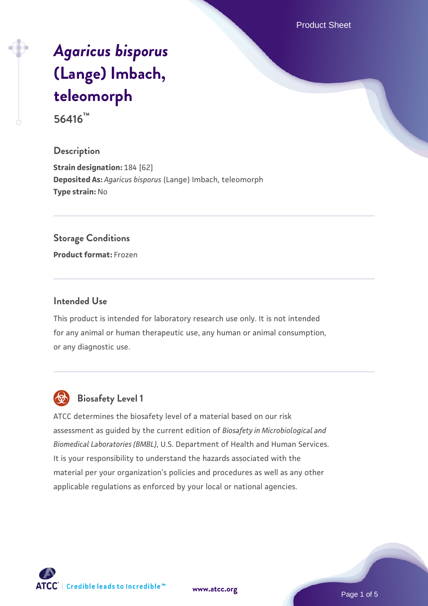Product Sheet

# *[Agaricus bisporus](https://www.atcc.org/products/56416)* **[\(Lange\) Imbach,](https://www.atcc.org/products/56416) [teleomorph](https://www.atcc.org/products/56416)**

**56416™**

## **Description**

**Strain designation:** 184 [62] **Deposited As:** *Agaricus bisporus* (Lange) Imbach, teleomorph **Type strain:** No

#### **Storage Conditions**

**Product format:** Frozen

#### **Intended Use**

This product is intended for laboratory research use only. It is not intended for any animal or human therapeutic use, any human or animal consumption, or any diagnostic use.



# **Biosafety Level 1**

ATCC determines the biosafety level of a material based on our risk assessment as guided by the current edition of *Biosafety in Microbiological and Biomedical Laboratories (BMBL)*, U.S. Department of Health and Human Services. It is your responsibility to understand the hazards associated with the material per your organization's policies and procedures as well as any other applicable regulations as enforced by your local or national agencies.



**[www.atcc.org](http://www.atcc.org)**

Page 1 of 5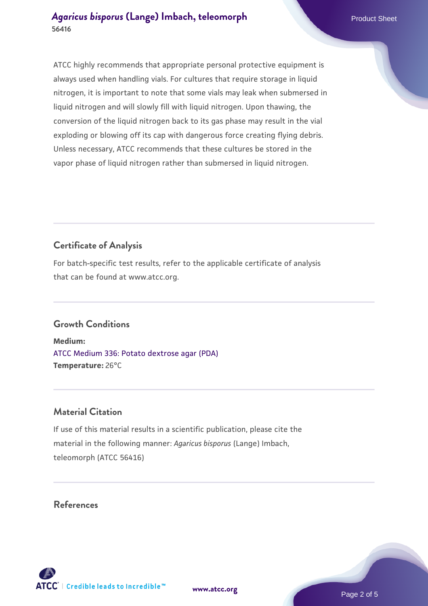ATCC highly recommends that appropriate personal protective equipment is always used when handling vials. For cultures that require storage in liquid nitrogen, it is important to note that some vials may leak when submersed in liquid nitrogen and will slowly fill with liquid nitrogen. Upon thawing, the conversion of the liquid nitrogen back to its gas phase may result in the vial exploding or blowing off its cap with dangerous force creating flying debris. Unless necessary, ATCC recommends that these cultures be stored in the vapor phase of liquid nitrogen rather than submersed in liquid nitrogen.

# **Certificate of Analysis**

For batch-specific test results, refer to the applicable certificate of analysis that can be found at www.atcc.org.

## **Growth Conditions**

**Medium:**  [ATCC Medium 336: Potato dextrose agar \(PDA\)](https://www.atcc.org/-/media/product-assets/documents/microbial-media-formulations/3/3/6/atcc-medium-336.pdf?rev=d9160ad44d934cd8b65175461abbf3b9) **Temperature:** 26°C

## **Material Citation**

If use of this material results in a scientific publication, please cite the material in the following manner: *Agaricus bisporus* (Lange) Imbach, teleomorph (ATCC 56416)

**[www.atcc.org](http://www.atcc.org)**

## **References**

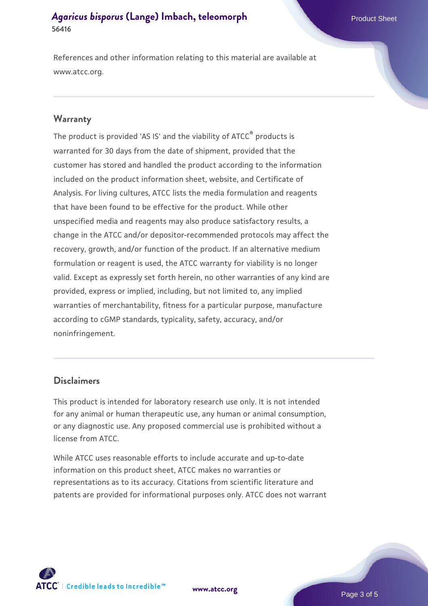References and other information relating to this material are available at www.atcc.org.

#### **Warranty**

The product is provided 'AS IS' and the viability of ATCC® products is warranted for 30 days from the date of shipment, provided that the customer has stored and handled the product according to the information included on the product information sheet, website, and Certificate of Analysis. For living cultures, ATCC lists the media formulation and reagents that have been found to be effective for the product. While other unspecified media and reagents may also produce satisfactory results, a change in the ATCC and/or depositor-recommended protocols may affect the recovery, growth, and/or function of the product. If an alternative medium formulation or reagent is used, the ATCC warranty for viability is no longer valid. Except as expressly set forth herein, no other warranties of any kind are provided, express or implied, including, but not limited to, any implied warranties of merchantability, fitness for a particular purpose, manufacture according to cGMP standards, typicality, safety, accuracy, and/or noninfringement.

#### **Disclaimers**

This product is intended for laboratory research use only. It is not intended for any animal or human therapeutic use, any human or animal consumption, or any diagnostic use. Any proposed commercial use is prohibited without a license from ATCC.

While ATCC uses reasonable efforts to include accurate and up-to-date information on this product sheet, ATCC makes no warranties or representations as to its accuracy. Citations from scientific literature and patents are provided for informational purposes only. ATCC does not warrant



**[www.atcc.org](http://www.atcc.org)**

Page 3 of 5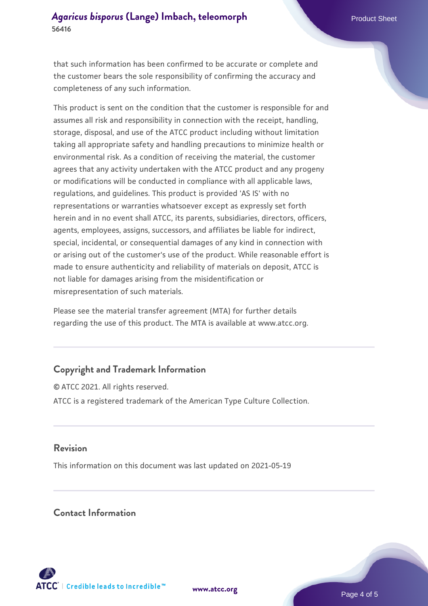that such information has been confirmed to be accurate or complete and the customer bears the sole responsibility of confirming the accuracy and completeness of any such information.

This product is sent on the condition that the customer is responsible for and assumes all risk and responsibility in connection with the receipt, handling, storage, disposal, and use of the ATCC product including without limitation taking all appropriate safety and handling precautions to minimize health or environmental risk. As a condition of receiving the material, the customer agrees that any activity undertaken with the ATCC product and any progeny or modifications will be conducted in compliance with all applicable laws, regulations, and guidelines. This product is provided 'AS IS' with no representations or warranties whatsoever except as expressly set forth herein and in no event shall ATCC, its parents, subsidiaries, directors, officers, agents, employees, assigns, successors, and affiliates be liable for indirect, special, incidental, or consequential damages of any kind in connection with or arising out of the customer's use of the product. While reasonable effort is made to ensure authenticity and reliability of materials on deposit, ATCC is not liable for damages arising from the misidentification or misrepresentation of such materials.

Please see the material transfer agreement (MTA) for further details regarding the use of this product. The MTA is available at www.atcc.org.

## **Copyright and Trademark Information**

© ATCC 2021. All rights reserved. ATCC is a registered trademark of the American Type Culture Collection.

## **Revision**

This information on this document was last updated on 2021-05-19

## **Contact Information**



**[www.atcc.org](http://www.atcc.org)**

Page 4 of 5